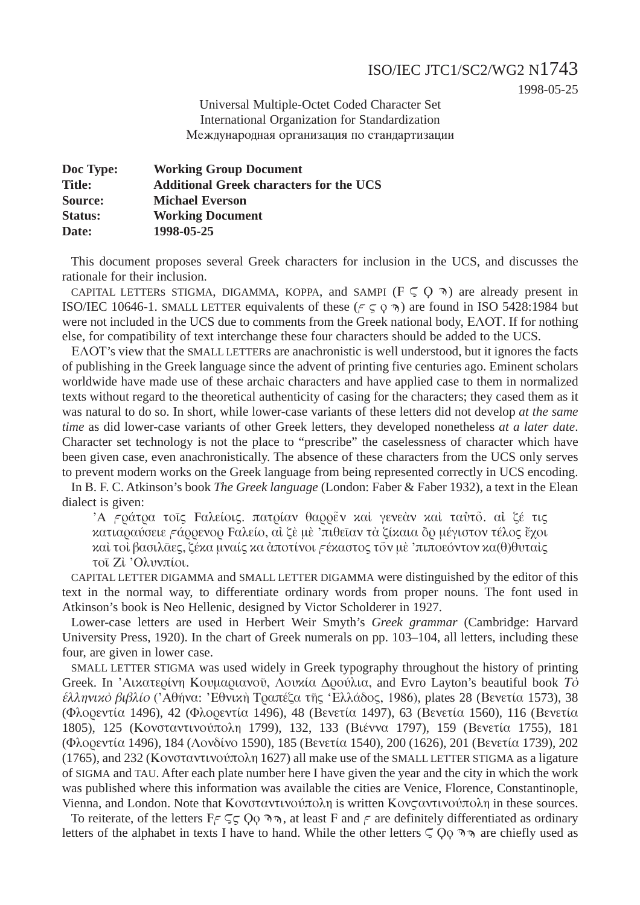1998-05-25

Universal Multiple-Octet Coded Character Set **International Organization for Standardization** Международная организация по стандартизации

| Doc Type:      | <b>Working Group Document</b>                  |
|----------------|------------------------------------------------|
| <b>Title:</b>  | <b>Additional Greek characters for the UCS</b> |
| Source:        | <b>Michael Everson</b>                         |
| <b>Status:</b> | <b>Working Document</b>                        |
| Date:          | 1998-05-25                                     |

This document proposes several Greek characters for inclusion in the UCS, and discusses the rationale for their inclusion.

CAPITAL LETTERS STIGMA, DIGAMMA, KOPPA, and SAMPI ( $F \subseteq O \$ ) are already present in ISO/IEC 10646-1. SMALL LETTER equivalents of these ( $\zeta \in \zeta$ ) are found in ISO 5428:1984 but were not included in the UCS due to comments from the Greek national body, EAOT. If for nothing else, for compatibility of text interchange these four characters should be added to the UCS.

EAOT's view that the SMALL LETTERs are anachronistic is well understood, but it ignores the facts of publishing in the Greek language since the advent of printing five centuries ago. Eminent scholars worldwide have made use of these archaic characters and have applied case to them in normalized texts without regard to the theoretical authenticity of casing for the characters; they cased them as it was natural to do so. In short, while lower-case variants of these letters did not develop at the same time as did lower-case variants of other Greek letters, they developed nonetheless at a later date. Character set technology is not the place to "prescribe" the caselessness of character which have been given case, even anachronistically. The absence of these characters from the UCS only serves to prevent modern works on the Greek language from being represented correctly in UCS encoding.

In B. F. C. Atkinson's book The Greek language (London: Faber & Faber 1932), a text in the Elean dialect is given:

Ά εράτρα τοις Γαλείοις, πατρίαν θαρρέν και γενεάν και ταύτο, αί ζέ τις κατιαραύσειε εάρρενορ Γαλείο, αί ζέ μέ 'πιθείαν τα ζίκαια δρ μέγιστον τέλος έχοι καί τοι βασιλάες, ζέκα μναίς κα άποτίνοι εέκαστος τον με 'πιποεόντον κα(θ)θυταίς τοι Ζί Ολυνπίοι.

CAPITAL LETTER DIGAMMA and SMALL LETTER DIGAMMA were distinguished by the editor of this text in the normal way, to differentiate ordinary words from proper nouns. The font used in Atkinson's book is Neo Hellenic, designed by Victor Scholderer in 1927.

Lower-case letters are used in Herbert Weir Smyth's Greek grammar (Cambridge: Harvard University Press, 1920). In the chart of Greek numerals on pp. 103–104, all letters, including these four, are given in lower case.

SMALL LETTER STIGMA was used widely in Greek typography throughout the history of printing Greek. In 'Αικατερίνη Κουμαριανοῦ, Λουκία Δρούλια, and Evro Layton's beautiful book To έλληνικό βιβλίο ('Αθήνα: 'Εθνική Τραπέζα της 'Ελλάδος, 1986), plates 28 (Βενετία 1573), 38 (Φλορεντία 1496), 42 (Φλορεντία 1496), 48 (Βενετία 1497), 63 (Βενετία 1560), 116 (Βενετία 1805), 125 (Κονσταντινούπολη 1799), 132, 133 (Βιέννα 1797), 159 (Βενετία 1755), 181 (Φλορεντία 1496), 184 (Λονδίνο 1590), 185 (Βενετία 1540), 200 (1626), 201 (Βενετία 1739), 202 (1765), and 232 (Κονσταντινούπολη 1627) all make use of the SMALL LETTER STIGMA as a ligature of SIGMA and TAU. After each plate number here I have given the year and the city in which the work was published where this information was available the cities are Venice, Florence, Constantinople, Vienna, and London. Note that Κονσταντινούπολη is written Κονς αντινούπολη in these sources.

To reiterate, of the letters  $F \subseteq \subseteq Q$  ,  $\eta$ , at least F and F are definitely differentiated as ordinary letters of the alphabet in texts I have to hand. While the other letters  $\zeta Q_0 \eta$  are chiefly used as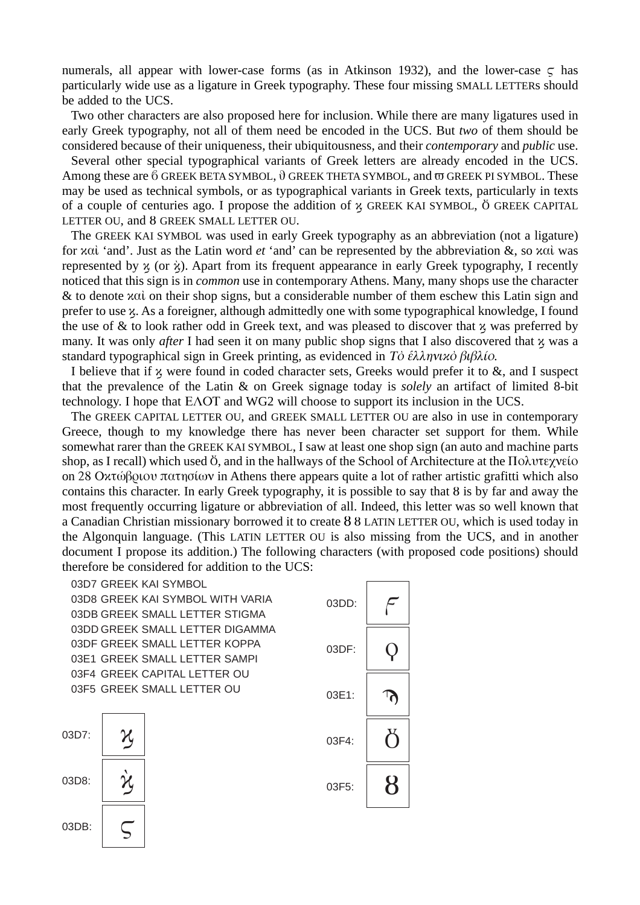numerals, all appear with lower-case forms (as in Atkinson 1932), and the lower-case  $\zeta$  has particularly wide use as a ligature in Greek typography. These four missing SMALL LETTERs should be added to the UCS.

Two other characters are also proposed here for inclusion. While there are many ligatures used in early Greek typography, not all of them need be encoded in the UCS. But *two* of them should be considered because of their uniqueness, their ubiquitousness, and their *contemporary* and *public* use.

Several other special typographical variants of Greek letters are already encoded in the UCS. Among these are  $6$  GREEK BETA SYMBOL,  $\vartheta$  GREEK THETA SYMBOL, and  $\varpi$  GREEK PI SYMBOL. These may be used as technical symbols, or as typographical variants in Greek texts, particularly in texts of a couple of centuries ago. I propose the addition of  $\chi$  GREEK KAI SYMBOL,  $\ddot{o}$  GREEK CAPITAL LETTER OU, and 8 GREEK SMALL LETTER OU.

The GREEK KAI SYMBOL was used in early Greek typography as an abbreviation (not a ligature) for *καλ* 'and'. Just as the Latin word *et* 'and' can be represented by the abbreviation &, so καλ was represented by  $\chi$  (or  $\dot{\chi}$ ). Apart from its frequent appearance in early Greek typography, I recently noticed that this sign is in *common* use in contemporary Athens. Many, many shops use the character & to denote  $\alpha$ αί on their shop signs, but a considerable number of them eschew this Latin sign and prefer to use  $\chi$ . As a foreigner, although admittedly one with some typographical knowledge, I found the use of  $\&$  to look rather odd in Greek text, and was pleased to discover that  $x$  was preferred by many. It was only *after* I had seen it on many public shop signs that I also discovered that x was a standard typographical sign in Greek printing, as evidenced in To  $\epsilon \lambda \lambda \eta \nu \nu \alpha \delta \beta \beta \lambda$  (o.

I believe that if  $\chi$  were found in coded character sets, Greeks would prefer it to  $\&$ , and I suspect that the prevalence of the Latin & on Greek signage today is *solely* an artifact of limited 8-bit technology. I hope that  $E\Lambda$ OT and WG2 will choose to support its inclusion in the UCS.

The GREEK CAPITAL LETTER OU, and GREEK SMALL LETTER OU are also in use in contemporary Greece, though to my knowledge there has never been character set support for them. While somewhat rarer than the GREEK KAI SYMBOL, I saw at least one shop sign (an auto and machine parts shop, as I recall) which used  $\ddot{\theta}$ , and in the hallways of the School of Architecture at the  $\Pi$  $\ddot{\text{o}}\lambda \nu \tau \epsilon \chi \nu \epsilon$ ío on 28 Οκτώβριου πατησίων in Athens there appears quite a lot of rather artistic grafitti which also contains this character. In early Greek typography, it is possible to say that  $\theta$  is by far and away the most frequently occurring ligature or abbreviation of all. Indeed, this letter was so well known that a Canadian Christian missionary borrowed it to create 8 8 LATIN LETTER OU, which is used today in the Algonquin language. (This LATIN LETTER OU is also missing from the UCS, and in another document I propose its addition.) The following characters (with proposed code positions) should therefore be considered for addition to the UCS:

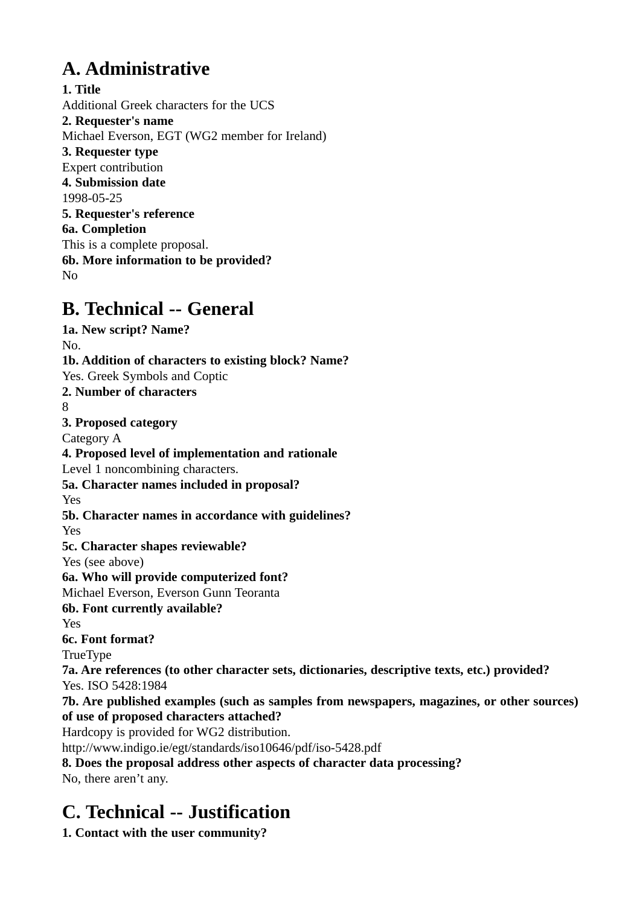# **A. Administrative**

**1. Title** Additional Greek characters for the UCS **2. Requester's name** Michael Everson, EGT (WG2 member for Ireland) **3. Requester type** Expert contribution **4. Submission date** 1998-05-25 **5. Requester's reference 6a. Completion** This is a complete proposal. **6b. More information to be provided?** No

# **B. Technical -- General**

**1a. New script? Name?** No. **1b. Addition of characters to existing block? Name?** Yes. Greek Symbols and Coptic **2. Number of characters** 8 **3. Proposed category** Category A **4. Proposed level of implementation and rationale** Level 1 noncombining characters. **5a. Character names included in proposal?** Yes **5b. Character names in accordance with guidelines?** Yes **5c. Character shapes reviewable?** Yes (see above) **6a. Who will provide computerized font?** Michael Everson, Everson Gunn Teoranta **6b. Font currently available?** Yes **6c. Font format?** TrueType **7a. Are references (to other character sets, dictionaries, descriptive texts, etc.) provided?** Yes. ISO 5428:1984 **7b. Are published examples (such as samples from newspapers, magazines, or other sources) of use of proposed characters attached?** Hardcopy is provided for WG2 distribution. http://www.indigo.ie/egt/standards/iso10646/pdf/iso-5428.pdf **8. Does the proposal address other aspects of character data processing?** No, there aren't any.

# **C. Technical -- Justification**

**1. Contact with the user community?**